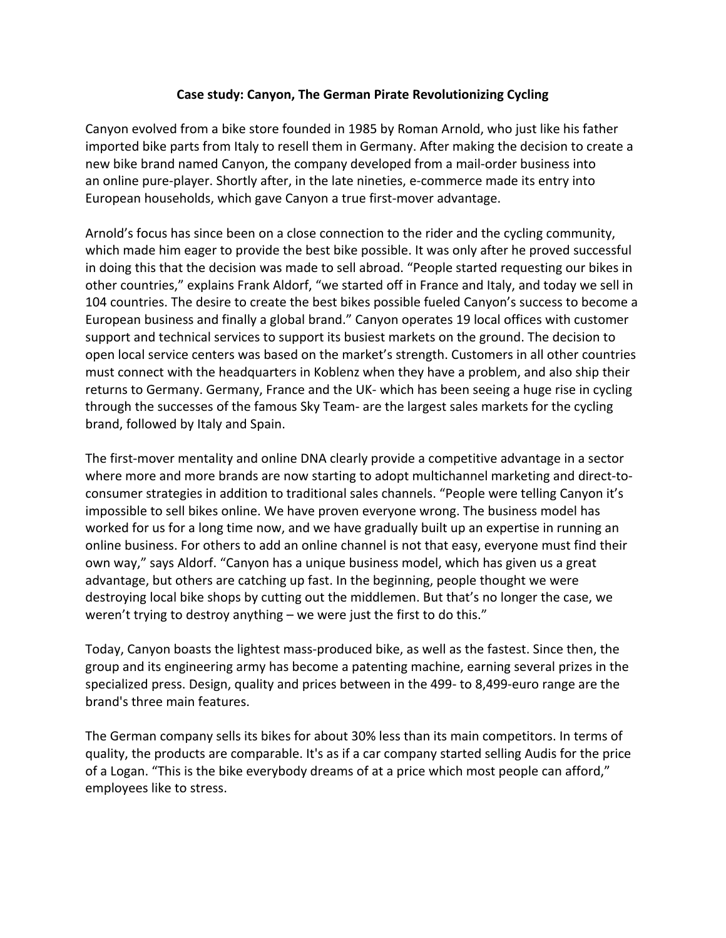## **Case study: Canyon, The German Pirate Revolutionizing Cycling**

Canyon evolved from a bike store founded in 1985 by Roman Arnold, who just like his father imported bike parts from Italy to resell them in Germany. After making the decision to create a new bike brand named Canyon, the company developed from a mail-order business into an online pure-player. Shortly after, in the late nineties, e-commerce made its entry into European households, which gave Canyon a true first-mover advantage.

Arnold's focus has since been on a close connection to the rider and the cycling community, which made him eager to provide the best bike possible. It was only after he proved successful in doing this that the decision was made to sell abroad. "People started requesting our bikes in other countries," explains Frank Aldorf, "we started off in France and Italy, and today we sell in 104 countries. The desire to create the best bikes possible fueled Canyon's success to become a European business and finally a global brand." Canyon operates 19 local offices with customer support and technical services to support its busiest markets on the ground. The decision to open local service centers was based on the market's strength. Customers in all other countries must connect with the headquarters in Koblenz when they have a problem, and also ship their returns to Germany. Germany, France and the UK- which has been seeing a huge rise in cycling through the successes of the famous Sky Team- are the largest sales markets for the cycling brand, followed by Italy and Spain.

The first-mover mentality and online DNA clearly provide a competitive advantage in a sector where more and more brands are now starting to adopt multichannel marketing and direct-toconsumer strategies in addition to traditional sales channels. "People were telling Canyon it's impossible to sell bikes online. We have proven everyone wrong. The business model has worked for us for a long time now, and we have gradually built up an expertise in running an online business. For others to add an online channel is not that easy, everyone must find their own way," says Aldorf. "Canyon has a unique business model, which has given us a great advantage, but others are catching up fast. In the beginning, people thought we were destroying local bike shops by cutting out the middlemen. But that's no longer the case, we weren't trying to destroy anything – we were just the first to do this."

Today, Canyon boasts the lightest mass-produced bike, as well as the fastest. Since then, the group and its engineering army has become a patenting machine, earning several prizes in the specialized press. Design, quality and prices between in the 499- to 8,499-euro range are the brand's three main features.

The German company sells its bikes for about 30% less than its main competitors. In terms of quality, the products are comparable. It's as if a car company started selling Audis for the price of a Logan. "This is the bike everybody dreams of at a price which most people can afford," employees like to stress.